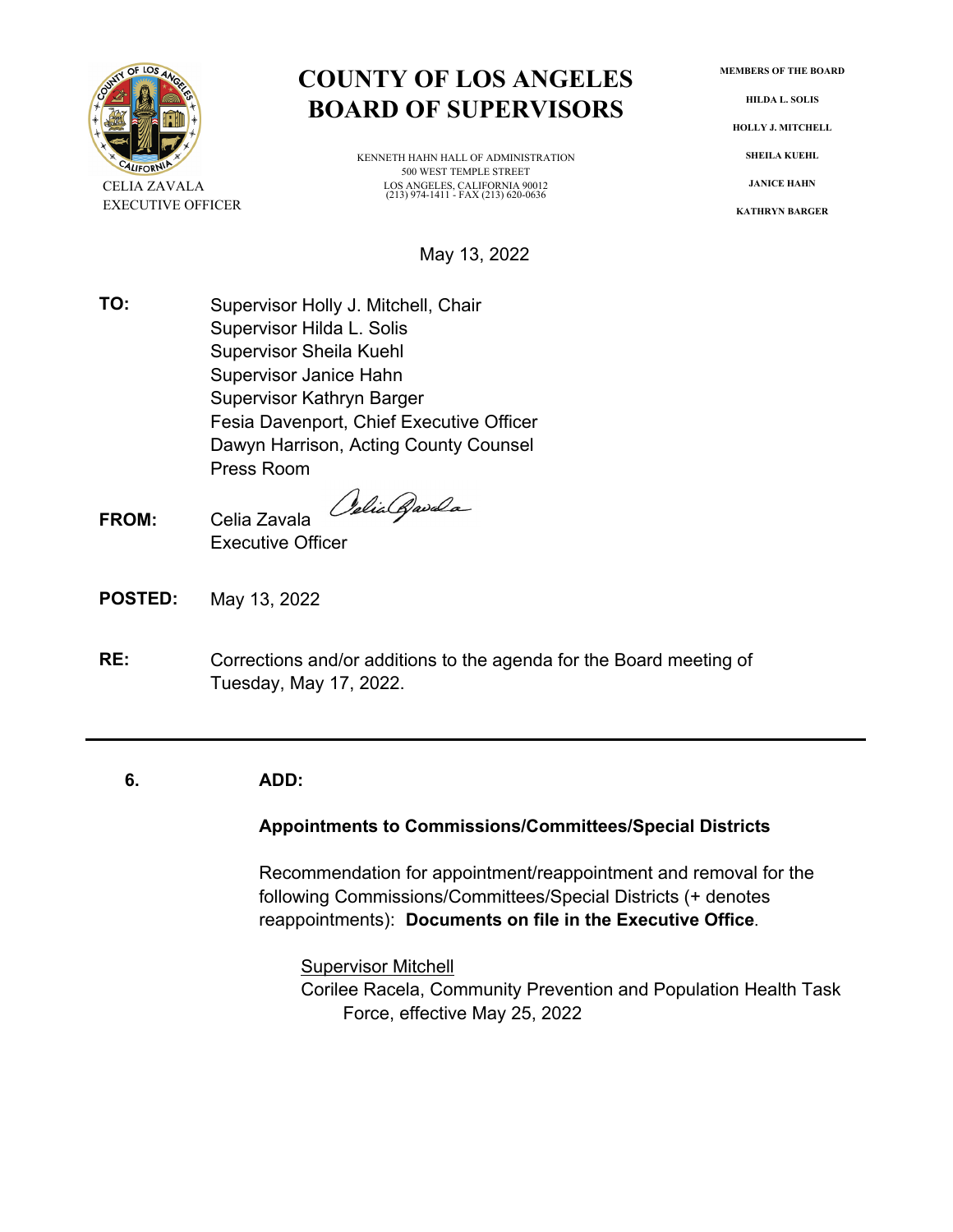

# **COUNTY OF LOS ANGELES** MEMBERS OF THE BOARD<br> **BOARD** OF SUPERVISORS HOLLY J. MITCHELL

KENNETH HAHN HALL OF ADMINISTRATION **SHEILA KUEHL** 500 WEST TEMPLE STREET CELIA ZAVALA LOS ANGELES, CALIFORNIA 90012 **JANICE HAHN**  (213) 974-1411 - FAX (213) 620-0636

May 13, 2022

**TO:** Supervisor Holly J. Mitchell, Chair Supervisor Hilda L. Solis Supervisor Sheila Kuehl Supervisor Janice Hahn Supervisor Kathryn Barger Fesia Davenport, Chief Executive Officer Dawyn Harrison, Acting County Counsel Press Room

Odia Qavala

- **FROM:** Celia Zavala Executive Officer
- **POSTED:** May 13, 2022
- **RE:** Corrections and/or additions to the agenda for the Board meeting of Tuesday, May 17, 2022.

#### **6. ADD:**

## **Appointments to Commissions/Committees/Special Districts**

Recommendation for appointment/reappointment and removal for the following Commissions/Committees/Special Districts (+ denotes reappointments): **Documents on file in the Executive Office**.

**Supervisor Mitchell** Corilee Racela, Community Prevention and Population Health Task Force, effective May 25, 2022

**EXECUTIVE OFFICER KATHRYN BARGER**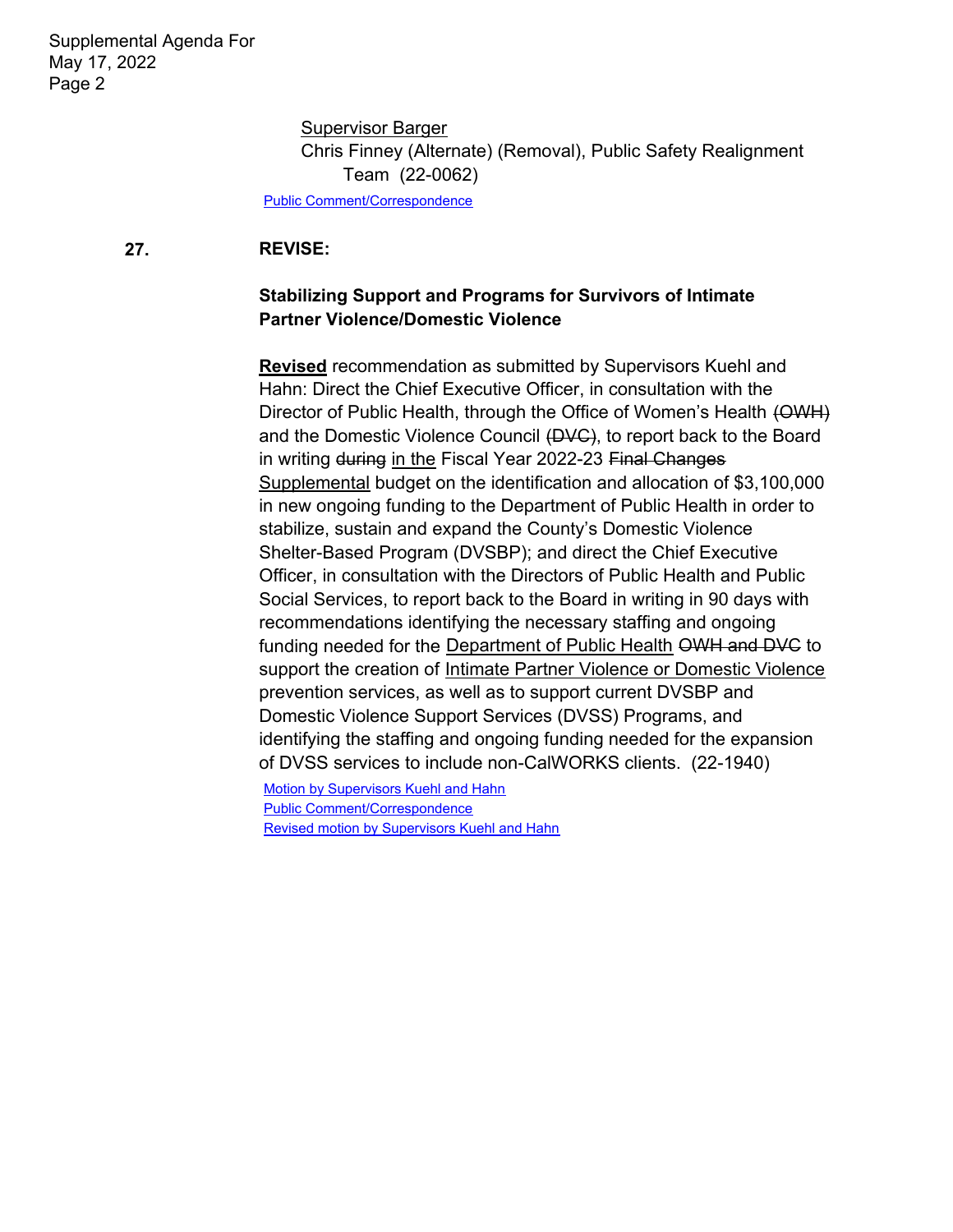Supervisor Barger Chris Finney (Alternate) (Removal), Public Safety Realignment Team (22-0062)

[Public Comment/Correspondence](http://file.lacounty.gov/SDSInter/bos/supdocs/164764.pdf) 

#### **27. REVISE:**

## **Stabilizing Support and Programs for Survivors of Intimate Partner Violence/Domestic Violence**

**Revised** recommendation as submitted by Supervisors Kuehl and Hahn: Direct the Chief Executive Officer, in consultation with the Director of Public Health, through the Office of Women's Health (OWH) and the Domestic Violence Council (DVC), to report back to the Board in writing during in the Fiscal Year 2022-23 Final Changes Supplemental budget on the identification and allocation of \$3,100,000 in new ongoing funding to the Department of Public Health in order to stabilize, sustain and expand the County's Domestic Violence Shelter-Based Program (DVSBP); and direct the Chief Executive Officer, in consultation with the Directors of Public Health and Public Social Services, to report back to the Board in writing in 90 days with recommendations identifying the necessary staffing and ongoing funding needed for the Department of Public Health OWH and DVC to support the creation of Intimate Partner Violence or Domestic Violence prevention services, as well as to support current DVSBP and Domestic Violence Support Services (DVSS) Programs, and identifying the staffing and ongoing funding needed for the expansion of DVSS services to include non-CalWORKS clients. (22-1940)

[Motion by Supervisors Kuehl and Hahn](http://file.lacounty.gov/SDSInter/bos/supdocs/169034.pdf)  [Public Comment/Correspondence](http://file.lacounty.gov/SDSInter/bos/supdocs/169038.pdf)  [Revised motion by Supervisors Kuehl and Hahn](http://file.lacounty.gov/SDSInter/bos/supdocs/169113.pdf)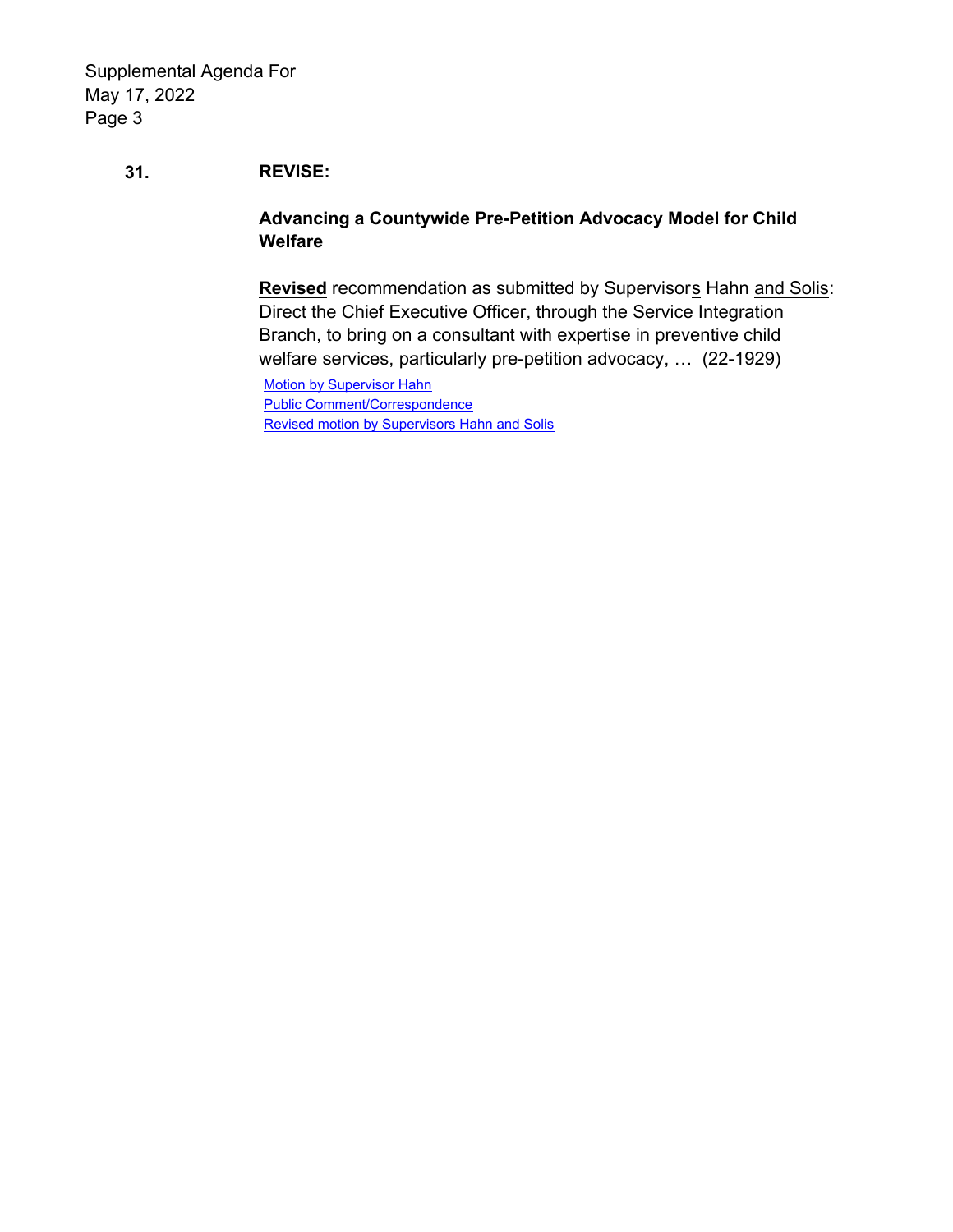## **31. REVISE:**

## **Advancing a Countywide Pre-Petition Advocacy Model for Child Welfare**

**Revised** recommendation as submitted by Supervisors Hahn and Solis: Direct the Chief Executive Officer, through the Service Integration Branch, to bring on a consultant with expertise in preventive child welfare services, particularly pre-petition advocacy, … (22-1929)

**Motion by Supervisor Hahn** [Public Comment/Correspondence](http://file.lacounty.gov/SDSInter/bos/supdocs/169010.pdf)  [Revised motion by Supervisors Hahn and Solis](http://file.lacounty.gov/SDSInter/bos/supdocs/169134.pdf)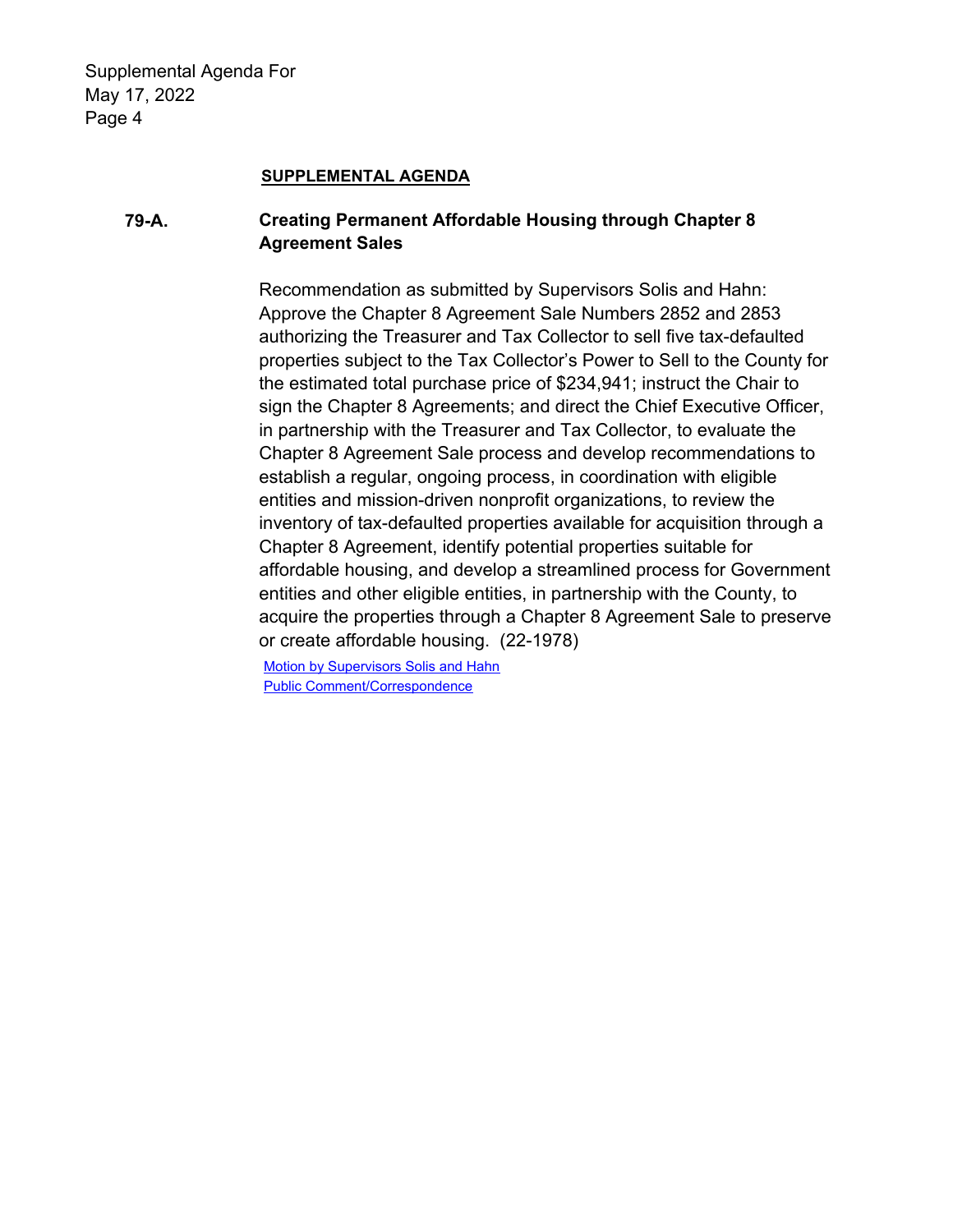#### **SUPPLEMENTAL AGENDA**

## **79-A. Creating Permanent Affordable Housing through Chapter 8 Agreement Sales**

Recommendation as submitted by Supervisors Solis and Hahn: Approve the Chapter 8 Agreement Sale Numbers 2852 and 2853 authorizing the Treasurer and Tax Collector to sell five tax-defaulted properties subject to the Tax Collector's Power to Sell to the County for the estimated total purchase price of \$234,941; instruct the Chair to sign the Chapter 8 Agreements; and direct the Chief Executive Officer, in partnership with the Treasurer and Tax Collector, to evaluate the Chapter 8 Agreement Sale process and develop recommendations to establish a regular, ongoing process, in coordination with eligible entities and mission-driven nonprofit organizations, to review the inventory of tax-defaulted properties available for acquisition through a Chapter 8 Agreement, identify potential properties suitable for affordable housing, and develop a streamlined process for Government entities and other eligible entities, in partnership with the County, to acquire the properties through a Chapter 8 Agreement Sale to preserve or create affordable housing. (22-1978)

[Motion by Supervisors Solis and Hahn](http://file.lacounty.gov/SDSInter/bos/supdocs/169127.pdf)  [Public Comment/Correspondence](http://file.lacounty.gov/SDSInter/bos/supdocs/169128.pdf)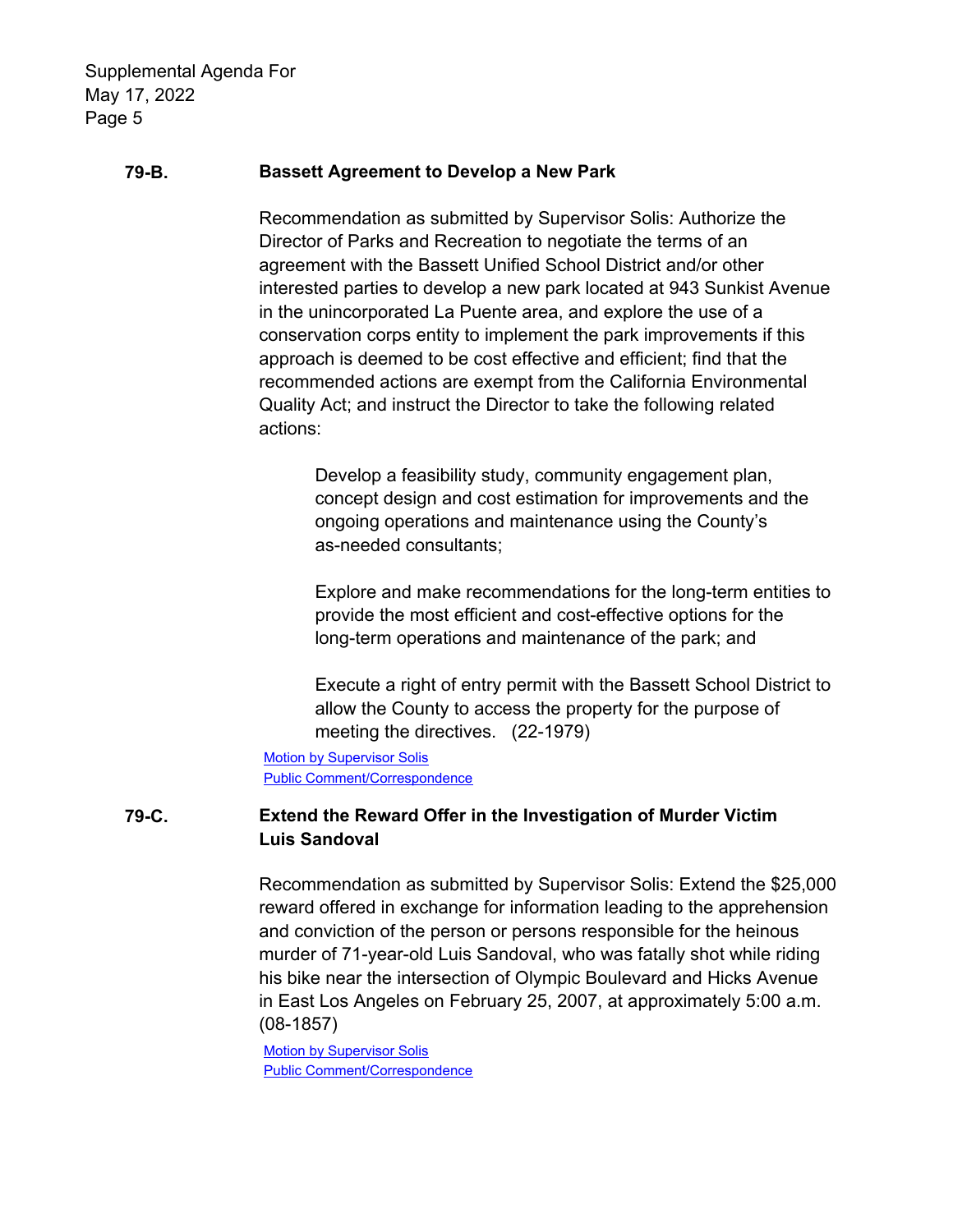### **79-B. Bassett Agreement to Develop a New Park**

Recommendation as submitted by Supervisor Solis: Authorize the Director of Parks and Recreation to negotiate the terms of an agreement with the Bassett Unified School District and/or other interested parties to develop a new park located at 943 Sunkist Avenue in the unincorporated La Puente area, and explore the use of a conservation corps entity to implement the park improvements if this approach is deemed to be cost effective and efficient; find that the recommended actions are exempt from the California Environmental Quality Act; and instruct the Director to take the following related actions:

> Develop a feasibility study, community engagement plan, concept design and cost estimation for improvements and the ongoing operations and maintenance using the County's as-needed consultants;

Explore and make recommendations for the long-term entities to provide the most efficient and cost-effective options for the long-term operations and maintenance of the park; and

Execute a right of entry permit with the Bassett School District to allow the County to access the property for the purpose of meeting the directives. (22-1979)

[Motion by Supervisor Solis](http://file.lacounty.gov/SDSInter/bos/supdocs/169129.pdf)  [Public Comment/Correspondence](http://file.lacounty.gov/SDSInter/bos/supdocs/169130.pdf) 

## **79-C. Extend the Reward Offer in the Investigation of Murder Victim Luis Sandoval**

Recommendation as submitted by Supervisor Solis: Extend the \$25,000 reward offered in exchange for information leading to the apprehension and conviction of the person or persons responsible for the heinous murder of 71-year-old Luis Sandoval, who was fatally shot while riding his bike near the intersection of Olympic Boulevard and Hicks Avenue in East Los Angeles on February 25, 2007, at approximately 5:00 a.m. (08-1857)

[Motion by Supervisor Solis](http://file.lacounty.gov/SDSInter/bos/supdocs/169124.pdf)  [Public Comment/Correspondence](http://file.lacounty.gov/SDSInter/bos/supdocs/169125.pdf)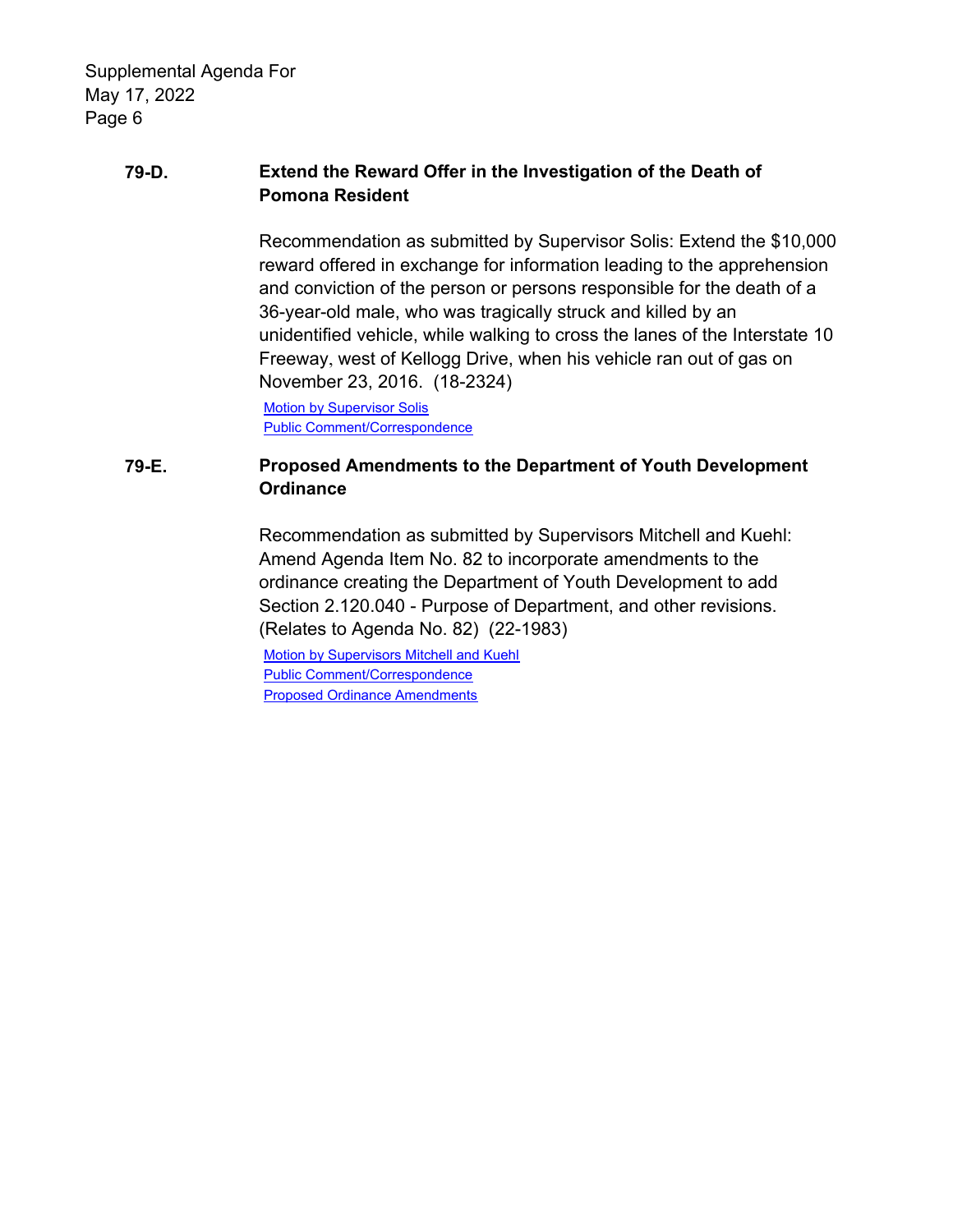## **79-D. Extend the Reward Offer in the Investigation of the Death of Pomona Resident**

Recommendation as submitted by Supervisor Solis: Extend the \$10,000 reward offered in exchange for information leading to the apprehension and conviction of the person or persons responsible for the death of a 36-year-old male, who was tragically struck and killed by an unidentified vehicle, while walking to cross the lanes of the Interstate 10 Freeway, west of Kellogg Drive, when his vehicle ran out of gas on November 23, 2016. (18-2324)

[Motion by Supervisor Solis](http://file.lacounty.gov/SDSInter/bos/supdocs/169122.pdf)  [Public Comment/Correspondence](http://file.lacounty.gov/SDSInter/bos/supdocs/169123.pdf) 

## **79-E. Proposed Amendments to the Department of Youth Development Ordinance**

Recommendation as submitted by Supervisors Mitchell and Kuehl: Amend Agenda Item No. 82 to incorporate amendments to the ordinance creating the Department of Youth Development to add Section 2.120.040 - Purpose of Department, and other revisions. (Relates to Agenda No. 82) (22-1983)

[Motion by Supervisors Mitchell and Kuehl](http://file.lacounty.gov/SDSInter/bos/supdocs/169143.pdf)  [Public Comment/Correspondence](http://file.lacounty.gov/SDSInter/bos/supdocs/169144.pdf)  [Proposed Ordinance Amendments](http://file.lacounty.gov/SDSInter/bos/supdocs/169147.pdf)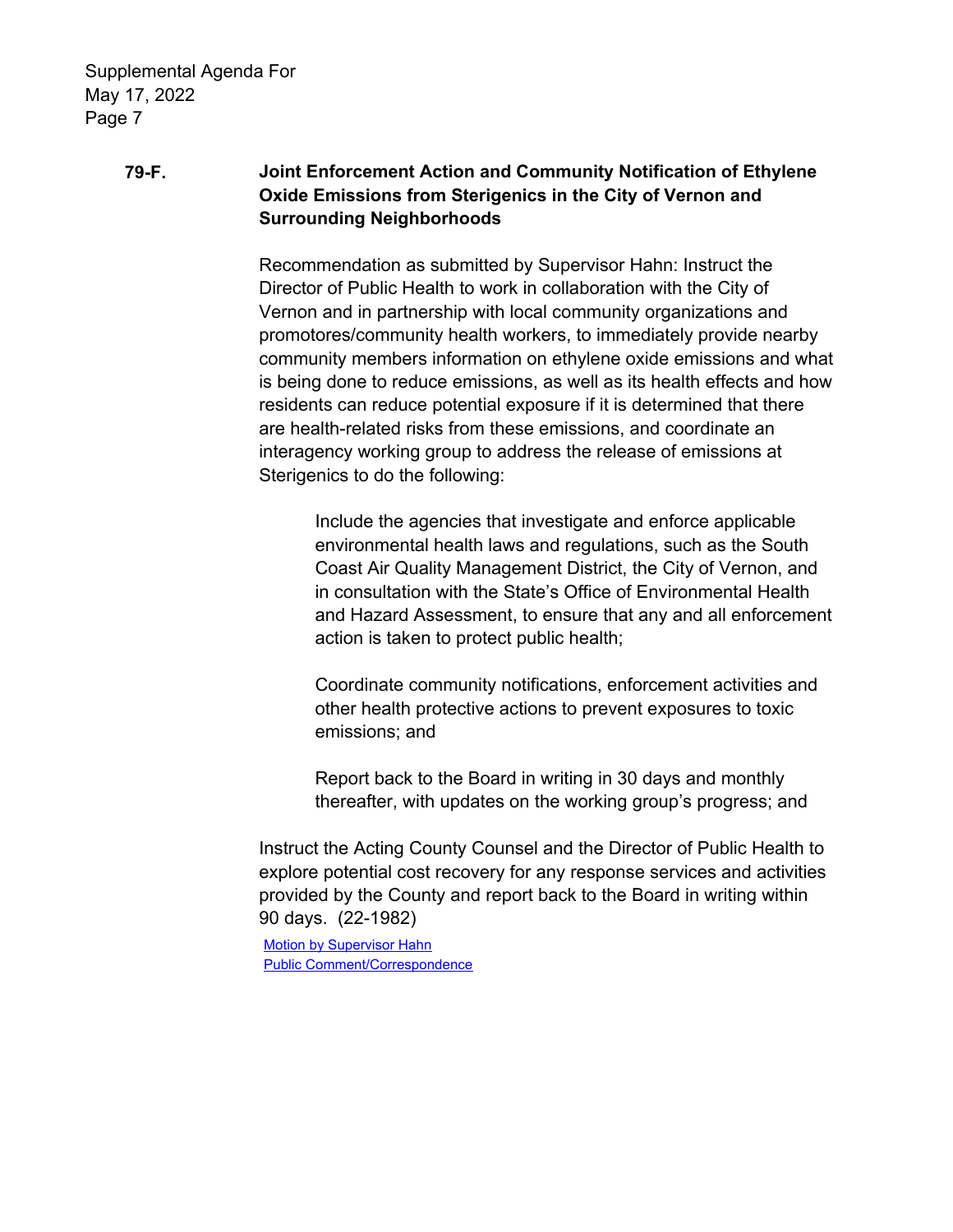## **79-F. Joint Enforcement Action and Community Notification of Ethylene Oxide Emissions from Sterigenics in the City of Vernon and Surrounding Neighborhoods**

Recommendation as submitted by Supervisor Hahn: Instruct the Director of Public Health to work in collaboration with the City of Vernon and in partnership with local community organizations and promotores/community health workers, to immediately provide nearby community members information on ethylene oxide emissions and what is being done to reduce emissions, as well as its health effects and how residents can reduce potential exposure if it is determined that there are health-related risks from these emissions, and coordinate an interagency working group to address the release of emissions at Sterigenics to do the following:

Include the agencies that investigate and enforce applicable environmental health laws and regulations, such as the South Coast Air Quality Management District, the City of Vernon, and in consultation with the State's Office of Environmental Health and Hazard Assessment, to ensure that any and all enforcement action is taken to protect public health;

Coordinate community notifications, enforcement activities and other health protective actions to prevent exposures to toxic emissions; and

Report back to the Board in writing in 30 days and monthly thereafter, with updates on the working group's progress; and

Instruct the Acting County Counsel and the Director of Public Health to explore potential cost recovery for any response services and activities provided by the County and report back to the Board in writing within 90 days. (22-1982)

[Motion by Supervisor Hahn](http://file.lacounty.gov/SDSInter/bos/supdocs/169145.pdf)  [Public Comment/Correspondence](http://file.lacounty.gov/SDSInter/bos/supdocs/169146.pdf)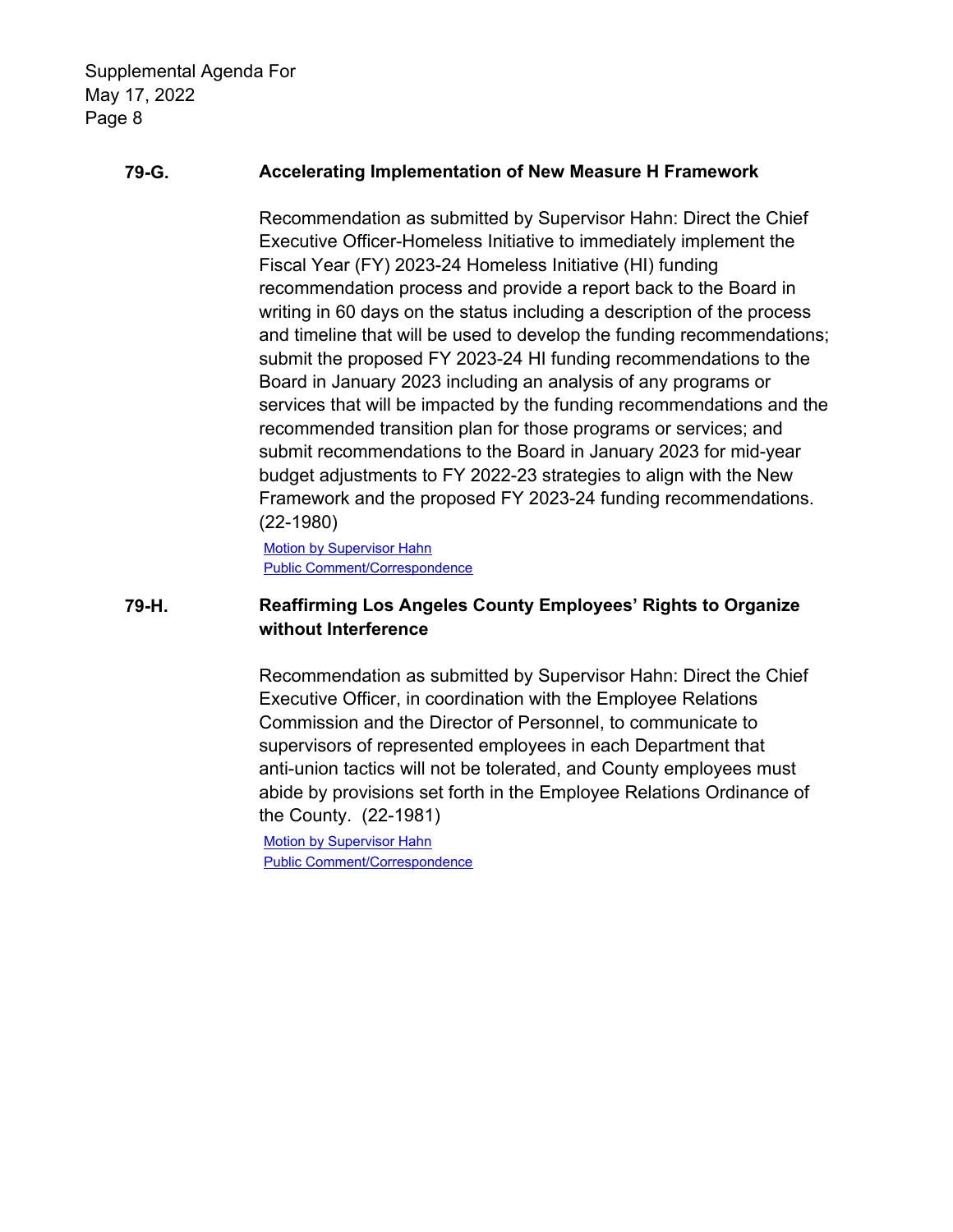#### **79-G. Accelerating Implementation of New Measure H Framework**

Recommendation as submitted by Supervisor Hahn: Direct the Chief Executive Officer-Homeless Initiative to immediately implement the Fiscal Year (FY) 2023-24 Homeless Initiative (HI) funding recommendation process and provide a report back to the Board in writing in 60 days on the status including a description of the process and timeline that will be used to develop the funding recommendations; submit the proposed FY 2023-24 HI funding recommendations to the Board in January 2023 including an analysis of any programs or services that will be impacted by the funding recommendations and the recommended transition plan for those programs or services; and submit recommendations to the Board in January 2023 for mid-year budget adjustments to FY 2022-23 strategies to align with the New Framework and the proposed FY 2023-24 funding recommendations. (22-1980)

**Motion by Supervisor Hahn** [Public Comment/Correspondence](http://file.lacounty.gov/SDSInter/bos/supdocs/169141.pdf) 

### **79-H. Reaffirming Los Angeles County Employees' Rights to Organize without Interference**

Recommendation as submitted by Supervisor Hahn: Direct the Chief Executive Officer, in coordination with the Employee Relations Commission and the Director of Personnel, to communicate to supervisors of represented employees in each Department that anti-union tactics will not be tolerated, and County employees must abide by provisions set forth in the Employee Relations Ordinance of the County. (22-1981)

[Motion by Supervisor Hahn](http://file.lacounty.gov/SDSInter/bos/supdocs/169138.pdf)  [Public Comment/Correspondence](http://file.lacounty.gov/SDSInter/bos/supdocs/169139.pdf)